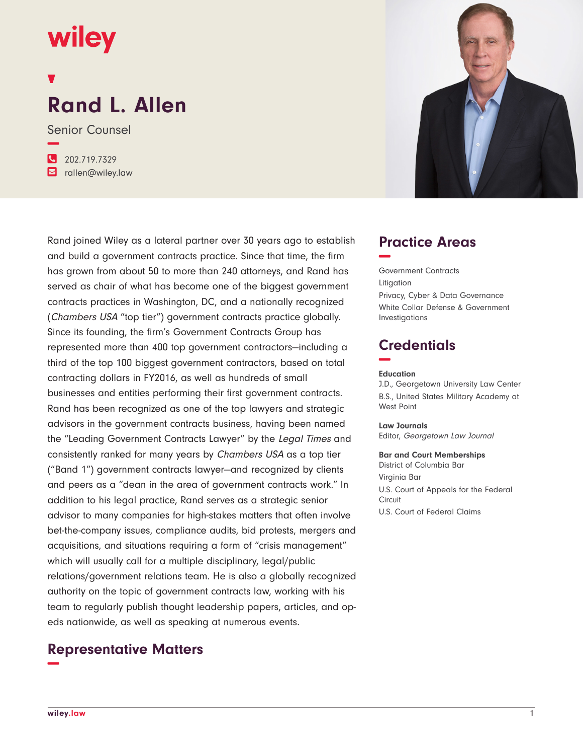## **wiley**

# **Rand L. Allen**

Senior Counsel **−**

**�** 202.719.7329 **�** rallen@wiley.law

Rand joined Wiley as a lateral partner over 30 years ago to establish and build a government contracts practice. Since that time, the firm has grown from about 50 to more than 240 attorneys, and Rand has served as chair of what has become one of the biggest government contracts practices in Washington, DC, and a nationally recognized (Chambers USA "top tier") government contracts practice globally. Since its founding, the firm's Government Contracts Group has represented more than 400 top government contractors—including a third of the top 100 biggest government contractors, based on total contracting dollars in FY2016, as well as hundreds of small businesses and entities performing their first government contracts. Rand has been recognized as one of the top lawyers and strategic advisors in the government contracts business, having been named the "Leading Government Contracts Lawyer" by the Legal Times and consistently ranked for many years by Chambers USA as a top tier ("Band 1") government contracts lawyer—and recognized by clients and peers as a "dean in the area of government contracts work." In addition to his legal practice, Rand serves as a strategic senior advisor to many companies for high-stakes matters that often involve bet-the-company issues, compliance audits, bid protests, mergers and acquisitions, and situations requiring a form of "crisis management" which will usually call for a multiple disciplinary, legal/public relations/government relations team. He is also a globally recognized authority on the topic of government contracts law, working with his team to regularly publish thought leadership papers, articles, and opeds nationwide, as well as speaking at numerous events.

## **Representative Matters −**



## **Practice Areas −**

Government Contracts Litigation Privacy, Cyber & Data Governance White Collar Defense & Government Investigations

## **Credentials −**

#### **Education**

J.D., Georgetown University Law Center B.S., United States Military Academy at West Point

**Law Journals**

Editor, Georgetown Law Journal

#### **Bar and Court Memberships** District of Columbia Bar Virginia Bar U.S. Court of Appeals for the Federal **Circuit**

U.S. Court of Federal Claims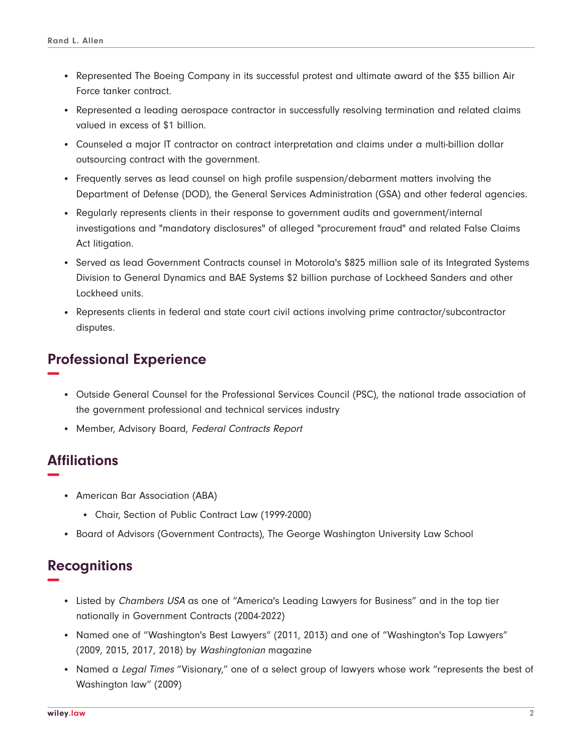- Represented The Boeing Company in its successful protest and ultimate award of the \$35 billion Air Force tanker contract.
- Represented a leading aerospace contractor in successfully resolving termination and related claims valued in excess of \$1 billion.
- Counseled a major IT contractor on contract interpretation and claims under a multi-billion dollar outsourcing contract with the government.
- Frequently serves as lead counsel on high profile suspension/debarment matters involving the Department of Defense (DOD), the General Services Administration (GSA) and other federal agencies.
- Regularly represents clients in their response to government audits and government/internal investigations and "mandatory disclosures" of alleged "procurement fraud" and related False Claims Act litigation.
- Served as lead Government Contracts counsel in Motorola's \$825 million sale of its Integrated Systems Division to General Dynamics and BAE Systems \$2 billion purchase of Lockheed Sanders and other Lockheed units.
- Represents clients in federal and state court civil actions involving prime contractor/subcontractor disputes.

### **Professional Experience −**

- Outside General Counsel for the Professional Services Council (PSC), the national trade association of the government professional and technical services industry
- Member, Advisory Board, Federal Contracts Report

## **Affiliations −**

- American Bar Association (ABA)
	- Chair, Section of Public Contract Law (1999-2000)
- Board of Advisors (Government Contracts), The George Washington University Law School

## **Recognitions −**

- Listed by Chambers USA as one of "America's Leading Lawyers for Business" and in the top tier nationally in Government Contracts (2004-2022)
- Named one of "Washington's Best Lawyers" (2011, 2013) and one of "Washington's Top Lawyers" (2009, 2015, 2017, 2018) by Washingtonian magazine
- Named a Legal Times "Visionary," one of a select group of lawyers whose work "represents the best of Washington law" (2009)